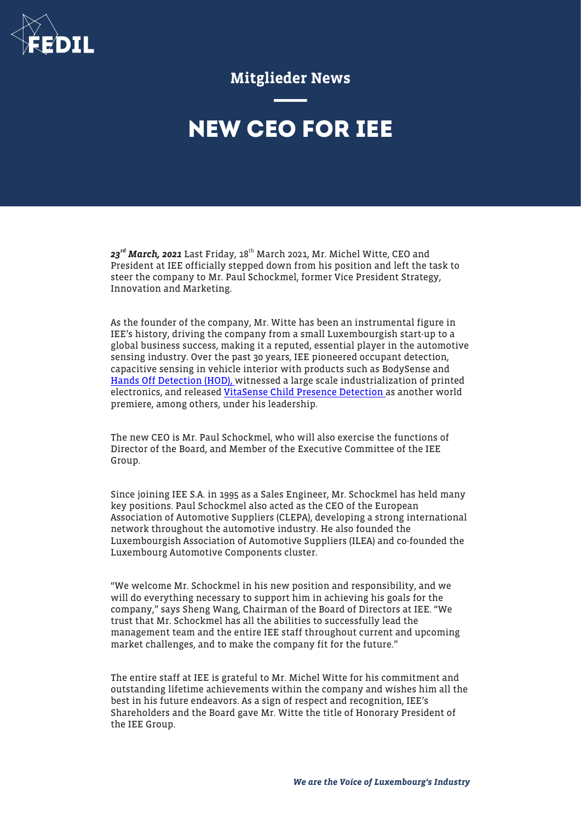

Mitglieder News

## **NEW CEO FOR IEE**

 $23^{rd}$  March, 2021 Last Friday,  $18^{th}$  March 2021, Mr. Michel Witte, CEO and President at IEE officially stepped down from his position and left the task to steer the company to Mr. Paul Schockmel, former Vice President Strategy, Innovation and Marketing.

As the founder of the company, Mr. Witte has been an instrumental figure in IEE's history, driving the company from a small Luxembourgish start-up to a global business success, making it a reputed, essential player in the automotive sensing industry. Over the past 30 years, IEE pioneered occupant detection, capacitive sensing in vehicle interior with products such as BodySense and [Hands Off Detection \(HOD\), w](https://www.iee-sensing.com/en/automotive/assisted-automated-driving/hands-off-detection)itnessed a large scale industrialization of printed electronics, and released [VitaSense Child Presence Detection](https://www.iee-sensing.com/en/automotive/safety-and-comfort/vitasense) as another world premiere, among others, under his leadership.

The new CEO is Mr. Paul Schockmel, who will also exercise the functions of Director of the Board, and Member of the Executive Committee of the IEE Group.

Since joining IEE S.A. in 1995 as a Sales Engineer, Mr. Schockmel has held many key positions. Paul Schockmel also acted as the CEO of the European Association of Automotive Suppliers (CLEPA), developing a strong international network throughout the automotive industry. He also founded the Luxembourgish Association of Automotive Suppliers (ILEA) and co-founded the Luxembourg Automotive Components cluster.

"We welcome Mr. Schockmel in his new position and responsibility, and we will do everything necessary to support him in achieving his goals for the company," says Sheng Wang, Chairman of the Board of Directors at IEE. "We trust that Mr. Schockmel has all the abilities to successfully lead the management team and the entire IEE staff throughout current and upcoming market challenges, and to make the company fit for the future."

The entire staff at IEE is grateful to Mr. Michel Witte for his commitment and outstanding lifetime achievements within the company and wishes him all the best in his future endeavors. As a sign of respect and recognition, IEE's Shareholders and the Board gave Mr. Witte the title of Honorary President of the IEE Group.